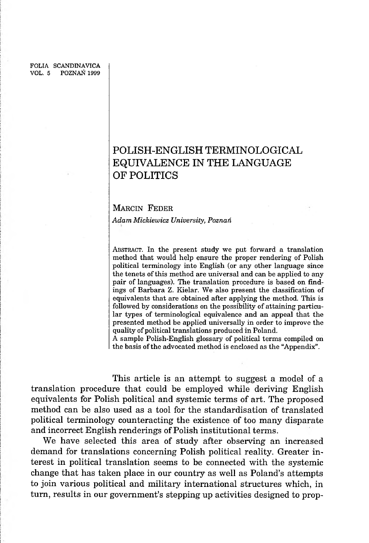FOLIA SCANDINAVICA VOL. 5 POZNAŃ 1999

# **POLISH-ENGLISH TERMINOLOGICAL EQUIVALENCE IN THE LANGUAGE OF POLITICS**

## MARCIN FEDER

*Adam Mickiewicz University, Poznań*

ABSTRACT. In the present study we put forward a translation method that would help ensure the proper rendering of Polish political terminology into English (or any other language since the tenets of this method are universal and can be applied to any pair of languages). The translation procedure is based on findings of Barbara Z. Kielar. We also present the classification of equivalents that are obtained after applying the method. This is followed by considerations on the possibility of attaining particular types of terminological equivalence and an appeal that the presented method be applied universally in order to improve the quality of political translations produced in Poland.

A sample Polish-English glossary of political terms compiled on the basis of the advocated method is enclosed as the "Appendix".

This article is an attempt to suggest a model of a translation procedure that could be employed while deriving English equivalents for Polish political and systemic terms of art. The proposed method can be also used as a tool for the standardisation of translated political terminology counteracting the existence of too many disparate and incorrect English renderings of Polish institutional terms.

We have selected this area of study after observing an increased demand for translations concerning Polish political reality. Greater interest in political translation seems to be connected with the systemic change that has taken place in our country as well as Poland's attempts to join various political and military international structures which, in turn, results in our government's stepping up activities designed to prop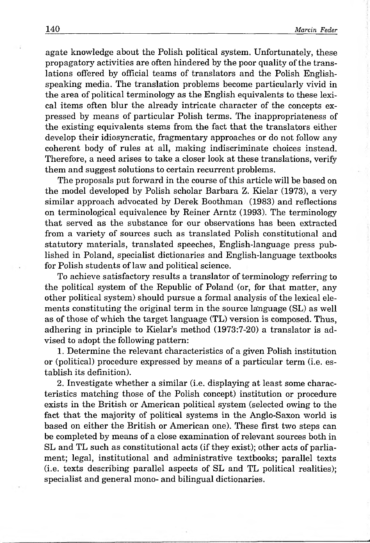agate knowledge about the Polish political system. Unfortunately, these propagatory activities are often hindered by the poor quality of the translations offered by official teams of translators and the Polish Englishspeaking media. The translation problems become particularly vivid in the area of political terminology as the English equivalents to these lexical items often blur the already intricate character of the concepts expressed by means of particular Polish terms. The inappropriateness of the existing equivalents stems from the fact that the translators either develop their idiosyncratic, fragmentary approaches or do not follow any coherent body of rules at all, making indiscriminate choices instead. Therefore, a need arises to take a closer look at these translations, verify them and suggest solutions to certain recurrent problems.

The proposals put forward in the course of this article will be based on the model developed by Polish scholar Barbara Z. Kielar (1973), a very similar approach advocated by Derek Boothman (1983) and reflections on terminological equivalence by Reiner Arntz (1993). The terminology that served as the substance for our observations has been extracted from a variety of sources such as translated Polish constitutional and statutory materials, translated speeches, English-language press published in Poland, specialist dictionaries and English-language textbooks for Polish students of law and political science.

To achieve satisfactory results a translator of terminology referring to the political system of the Republic of Poland (or, for that matter, any other political system) should pursue a formal analysis of the lexical elements constituting the original term in the source language (SL) as well as of those of which the target language (TL) version is composed. Thus, adhering in principle to Kielar's method (1973:7-20) a translator is advised to adopt the following pattern:

1. Determine the relevant characteristics of a given Polish institution or (political) procedure expressed by means of a particular term (i.e. establish its definition).

2. Investigate whether a similar (i.e. displaying at least some characteristics matching those of the Polish concept) institution or procedure exists in the British or American political system (selected owing to the fact that the majority of political systems in the Anglo-Saxon world is based on either the British or American one). These first two steps can be completed by means of a close examination of relevant sources both in SL and TL such as constitutional acts (if they exist); other acts of parliament; legal, institutional and administrative textbooks; parallel texts (i.e. texts describing parallel aspects of SL and TL political realities); specialist and general mono- and bilingual dictionaries.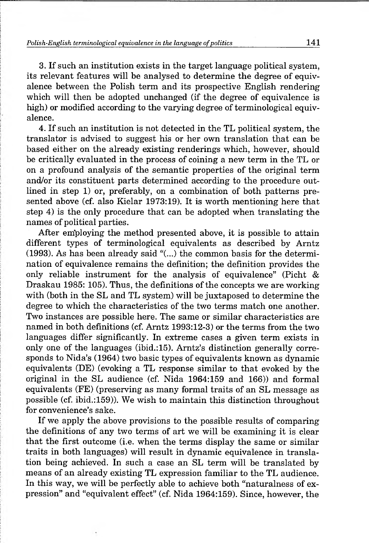3. If such an institution exists in the target language political system, its relevant features will be analysed to determine the degree of equivalence between the Polish term and its prospective English rendering which will then be adopted unchanged (if the degree of equivalence is high) or modified according to the varying degree of terminological equivalence.

4. If such an institution is not detected in the TL political system, the translator is advised to suggest his or her own translation that can be based either on the already existing renderings which, however, should be critically evaluated in the process of coining a new term in the TL or on a profound analysis of the semantic properties of the original term and/or its constituent parts determined according to the procedure outlined in step 1) or, preferably, on a combination of both patterns presented above (cf. also Kielar 1973:19). It is worth mentioning here that step 4) is the only procedure that can be adopted when translating the names of political parties.

After em'ploying the method presented above, it is possible to attain different types of terminological equivalents as described by Arntz (1993). As has been already said "(...) the common basis for the determination of equivalence remains the definition; the definition provides the only reliable instrument for the analysis of equivalence" (Picht & Draskau 1985: 105). Thus, the definitions of the concepts we are working with (both in the SL and TL system) will be juxtaposed to determine the degree to which the characteristics of the two terms match one another. Two instances are possible here. The same or similar characteristics are named in both definitions (cf. Arntz 1993:12-3) or the terms from the two languages differ significantly. In extreme cases a given term exists in only one of the languages (ibid.:15). Arntz's distinction generally corresponds to Nida's (1964) two basic types of equivalents known as dynamic equivalents (DE) (evoking a TL response similar to that evoked by the original in the SL audience (cf. Nida 1964:159 and 166)) and formal equivalents (FE) (preserving as many formal traits of an SL message as possible (cf. ibid.:159)). We wish to maintain this distinction throughout for convenience's sake.

If we apply the above provisions to the possible results of comparing the definitions of any two terms of art we will be examining it is clear that the first outcome (i.e. when the terms display the same or similar traits in both languages) will result in dynamic equivalence in translation being achieved. In such a case an SL term will be translated by means of an already existing TL expression familiar to the TL audience. In this way, we will be perfectly able to achieve both "naturalness of expression" and "equivalent effect" (cf. Nida 1964:159). Since, however, the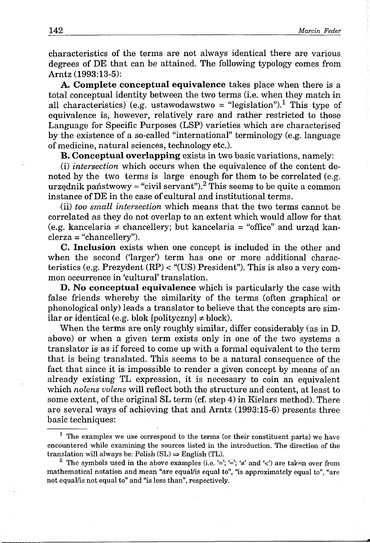characteristics of the terms are not always identical there are various degrees of DE that can be attained. The following typology comes from Arntz (1993:13-5):

A. Complete conceptual equivalence takes place when there is a total conceptual identity between the two terms (i.e. when they match in all characteristics) (e.g. ustawodawstwo = "legislation").<sup>1</sup> This type of equivalence is, however, relatively rare and rather restricted to those Language for Specific Purposes (LSP) varieties which are characterised by the existence of a so-called "international" terminology (e.g. language of medicine, natural sciences, technology etc.).

**B. Conceptual overlapping exists in two basic variations, namely:** 

(i) *intersection* which occurs when the equivalence of the content denoted by the two terms is large enough for them to be correlated (e.g. urzednik państwowy  $\approx$  "civil servant").<sup>2</sup> This seems to be quite a common instance of DE in the case of cultural and institutional terms.

(ii) *too small intersection* which means that the two terms cannot be correlated as they do not overlap to an extent which would allow for that (e.g. kancelaria  $\neq$  chancellery; but kancelaria = "office" and urząd kanclerza = "chancellery").

C. Inclusion exists when one concept is included in the other and when the second ('larger') term has one or more additional characteristics (e.g. Prezydent (RP) < "(US) President"). This is also a very common occurrence in 'cultural' translation.

D. No conceptual equivalence which is particularly the case with false friends whereby the similarity of the terms (often graphical or phonological only) leads a translator to believe that the concepts are similar or identical (e.g. blok [polityczny]  $\neq$  block).

When the terms are only roughly similar, differ considerably (as in D. above) or when a given term exists only in one of the two systems a translator is as if forced to come up with a formal equivalent to the term that is being translated. This seems to be a natural consequence of the fact that since it is impossible to render a given concept by means of an already existing TL expression, it is necessary to coin an equivalent which *nolens volens* will reflect both the structure and content, at least to some extent, of the original SL term (cf. step 4) in Kielars method). There are several ways of achieving that and Arntz (1993:15-6) presents three basic techniques:

<sup>&</sup>lt;sup>1</sup> The examples we use correspond to the terms (or their constituent parts) we have encountered while examining the sources listed in the introduction. The direction of the translation will always be: Polish  $(SL) \Rightarrow$  English (TL).

<sup>&</sup>lt;sup>2</sup> The symbols used in the above examples (i.e.  $\Xi$ ;  $\Xi$ ;  $\Xi$ <sup>'</sup>;  $\Xi$ <sup>'</sup> and ' $\Xi$ ') are taken over from mathematical notation and mean "are equal/is equal to", "is approximately equal to", "are not equal/is not equal to" and "is less than", respectively.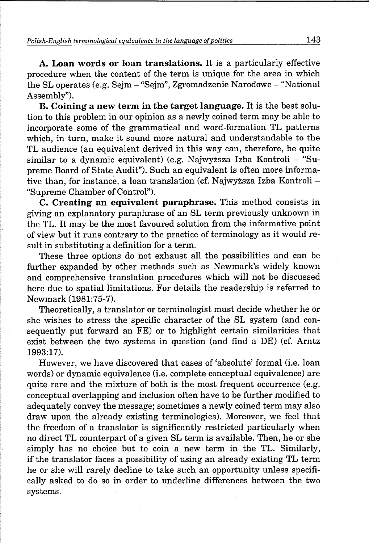*Polish-English terminological equivalence in the language o f politics* **143**

A. Loan words or loan translations. It is a particularly effective procedure when the content of the term is unique for the area in which the SL operates (e.g. Sejm - "Sejm", Zgromadzenie Narodowe - "National Assembly").

B. Coining a new term in the target language. It is the best solution to this problem in our opinion as a newly coined term may be able to incorporate some of the grammatical and word-formation TL patterns which, in turn, make it sound more natural and understandable to the TL audience (an equivalent derived in this way can, therefore, be quite similar to a dynamic equivalent) (e.g. Najwyższa Izba Kontroli - "Supreme Board of State Audit"). Such an equivalent is often more informative than, for instance, a loan translation (cf. Najwyższa Izba Kontroli - "Supreme Chamber of Control").

C. Creating an equivalent paraphrase. This method consists in giving an explanatory paraphrase of an SL term previously unknown in the TL. It may be the most favoured solution from the informative point of view but it runs contrary to the practice of terminology as it would result in substituting a definition for a term.

These three options do not exhaust all the possibilities and can be further expanded by other methods such as Newmark's widely known and comprehensive translation procedures which will not be discussed here due to spatial limitations. For details the readership is referred to Newmark (1981:75-7).

Theoretically, a translator or terminologist must decide whether he or she wishes to stress the specific character of the SL system (and consequently put forward an FE) or to highlight certain similarities that exist between the two systems in question (and find a DE) (cf. Arntz 1993:17).

However, we have discovered that cases of 'absolute' formal (i.e. loan words) or dynamic equivalence (i.e. complete conceptual equivalence) are quite rare and the mixture of both is the most frequent occurrence (e.g. conceptual overlapping and inclusion often have to be further modified to adequately convey the message; sometimes a newly coined term may also draw upon the already existing terminologies). Moreover, we feel that the freedom of a translator is significantly restricted particularly when no direct TL counterpart of a given SL term is available. Then, he or she simply has no choice but to coin a new term in the TL. Similarly, if the translator faces a possibility of using an already existing TL term he or she will rarely decline to take such an opportunity unless specifically asked to do so in order to underline differences between the two systems.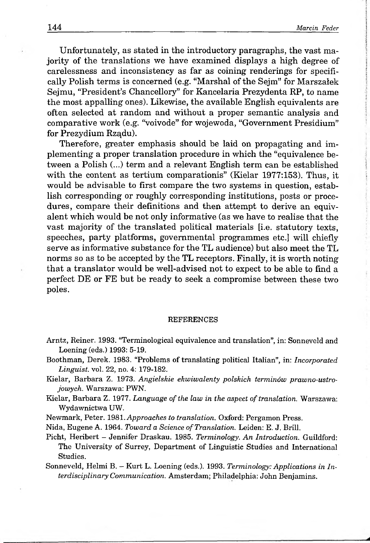Unfortunately, as stated in the introductory paragraphs, the vast majority of the translations we have examined displays a high degree of carelessness and inconsistency as far as coining renderings for specifically Polish terms is concerned (e.g. "Marshal of the Sejm" for Marszałek Sejmu, "President's Chancellory" for Kancelaria Prezydenta RP, to name the most appalling ones). Likewise, the available English equivalents are often selected at random and without a proper semantic analysis and comparative work (e.g. "voivode" for wojewoda, "Government Presidium" for Prezydium Rządu).

Therefore, greater emphasis should be laid on propagating and implementing a proper translation procedure in which the "equivalence between a Polish (...) term and a relevant English term can be established with the content as tertium comparationis" (Kielar 1977:153). Thus, it would be advisable to first compare the two systems in question, establish corresponding or roughly corresponding institutions, posts or procedures, compare their definitions and then attempt to derive an equivalent which would be not only informative (as we have to realise that the vast majority of the translated political materials [i.e. statutory texts, speeches, party platforms, governmental programmes etc.] will chiefly serve as informative substance for the TL audience) but also meet the TL norms so as to be accepted by the TL receptors. Finally, it is worth noting that a translator would be well-advised not to expect to be able to find a perfect DE or FE but be ready to seek a compromise between these two poles.

#### **REFERENCES**

- Arntz, Reiner. 1993. "Terminological equivalence and translation", in: Sonneveld and Loening (eds.) 1993: 5-19.
- Boothman, Derek. 1983. "Problems of translating political Italian", in: *Incorporated Linguist,* vol. 22, no. 4: 179-182.
- Kielar, Barbara Z. 1973. *Angielskie ekwiwalenty polskich terminów prawno-ustrojowych.* Warszawa: PWN.
- Kielar, Barbara Z. 1977. *Language of the law in the aspect of translation.* Warszawa: Wydawnictwa UW.
- Newmark, Peter. 1981. *Approaches to translation.* Oxford: Pergamon Press.

Nida, Eugene A. 1964. *Toward a Science of Translation*. Leiden: E. J. Brill.

Picht, Heribert - Jennifer Draskau. 1985. *Terminology. An Introduction.* Guildford: The University of Surrey, Department of Linguistic Studies and International Studies.

Sonneveld, Helmi B. - Kurt L. Loening (eds.). 1993. *Terminology: Applications in Interdisciplinary Communication.* Amsterdam; Philadelphia: John Benjamins.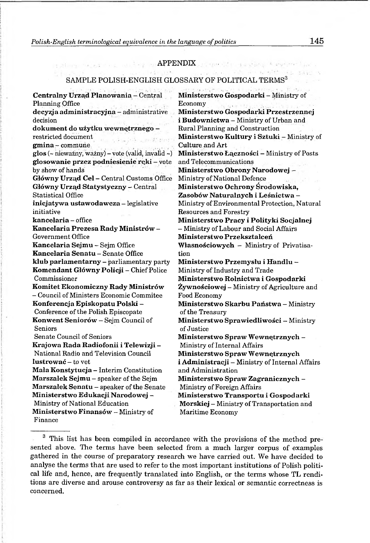Polish-English terminological equivalence in the language of politics **145** 

## APPENDIX **\*\*\*\*\*\*\*\*\*\*\*\*\*\*\*\*\*\*\*\*\*\*\*\*\*\*\*\*\*\*\*\*\*\***

### SAMPLE POLISH-ENGLISH GLOSSARY OF POLITICAL TERMS<sup>3</sup>

Centralny Urząd Planowania- Central Planning Office

decyzja administracyjna - administrative decision

dokument do użytku wewnętrznego restricted document

gmina - commune

 $g \textbf{los}$  (~ nieważny, ważny) – vote (valid, invalid ~) glosowanie przez podniesienie ręki - vote by show of hands

Główny Urząd Cel - Central Customs Office Główny Urząd Statystyczny - Central Statistical Office

inicjatywa ustawodawcza - legislative initiative

kancelaria - office

Kancelaria Prezesa Rady Ministrów - Government Office

Kancelaria Sejmu - Sejm Office Kancelaria Senatu - Senate Office klub parlamentarny - parliamentary party Komendant Główny Policji - Chief Police Commissioner

Komitet Ekonomiczny Rady Ministrów - Council of Ministers Economic Commitee Konferencja Episkopatu Polski - Conference of the Polish Episcopate Konwent Seniorów - Sejm Council of Seniors

Senate Council of Seniors

Krajowa Rada Radiofonii i Telewizji - National Radio and Television Council lustrować - to vet

Mała Konstytucja - Interim Constitution Marszalek Sejmu - speaker of the Sejm Marszałek Senatu - speaker of the Senate Ministerstwo Edukacji Narodowej - Ministry of National Education Ministerstwo Finansów - Ministry of Finance

**Ministerstwo Gospodarki -** Ministry of Economy , **Ministerstwo Gospodarki Przestrzennej i Budownictwa —** Ministry of Urban and Rural Planning and Construction **Ministerstwo Kultury i Sztuki -** Ministry of Culture and Art **Ministerstwo Łączności -** Ministry of Posts and Telecommunications **Ministerstwo Obrony Narodowej -** Ministry of National Defence **Ministerstwo Ochrony Środowiska, Zasobów Naturalnych i Leśnictwa -** Ministry of Environmental Protection, Natural Resources and Forestry **Ministerstwo Pracy i Polityki Socjalnej** - Ministry of Labour and Social Affairs **Ministerstwo Przekształceń Własnościowych -** Ministry of Privatisation **Ministerstwo Przemysłu i Handlu -** Ministry of Industry and Trade **Ministerstwo Rolnictwa i Gospodarki Żywnościowej -** Ministry of Agriculture and Food Economy **Ministerstwo Skarbu Państwa -** Ministry of the Treasury **Ministerstwo Sprawiedliwości -** Ministry of Justice **Ministerstwo Spraw Wewnętrznych -** Ministry of Internal Affairs **Ministerstwo Spraw Wewnętrznych i Administracji -** Ministry of Internal Affairs and Administration **Ministerstwo Spraw Zagranicznych -** Ministry of Foreign Affairs **Ministerstwo Transportu i Gospodarki Morskiej -** Ministry of Transportation and Maritime Economy

<sup>3</sup> This list has been compiled in accordance with the provisions of the method presented above. The terms have been selected from a much larger corpus of examples gathered in the course of preparatory research we have carried out. We have decided to analyse the terms that are used to refer to the most important institutions of Polish political life and, hence, are frequently translated into English, or the terms whose TL renditions are diverse and arouse controversy as far as their lexical or semantic correctness is concerned.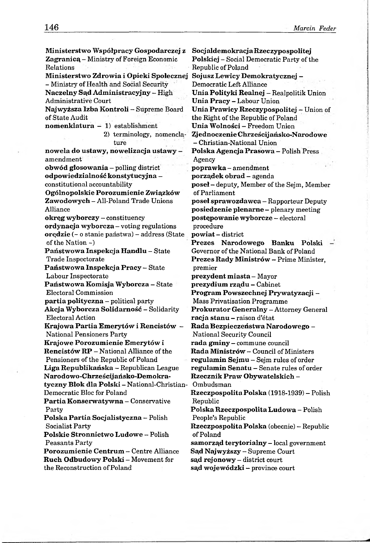Ministerstwo Współpracy Gospodarczej z Zagranicą - Ministry of Foreign Economic Relations Ministerstwo Zdrowia i Opieki Społecznej - Ministry of Health and Social Security Naczelny Sąd Administracyjny - High Administrative Court Najwyższa Izba Kontroli - Supreme Board of State Audit nomenklatura - 1) establishment 2) terminology, nomenclature nowela do ustawy, nowelizacja ustawy amendment obwód głosowania - polling district odpowiedzialność konstytucyjna constitutional accountability Ogólnopolskie Porozumienie Związków Zawodowych - All-Poland Trade Unions Alliance okręg wyborczy - constituency ordynacja wyborcza - voting regulations orędzie (- o stanie państwa) - address (State of the Nation -) Państwowa Inspekcja Handlu - State Trade Inspectorate Państwowa Inspekcja Pracy - State Labour Inspectorate Państwowa Komisja Wyborcza - State Electoral Commission partia polityczna - political party Akcja Wyborcza Solidarność - Solidarity Electoral Action Krajowa Partia Emerytów i Rencistów - National Pensioners Party Krajowe Porozumienie Emerytów i Rencistów RP - National Alliance of the Pensioners of the Republic of Poland Liga Republikańska - Republican League Narodowo-Chrześcijańsko-Demokratyczny Blok dla Polski - National-Christian-Democratic Bloc for Poland Partia Konserwatywna - Conservative Party Polska Partia Socjalistyczna - Polish Socialist Party Polskie Stronnictwo Ludowe - Polish Peasants Party Porozumienie Centrum - Centre Alliance Ruch Odbudowy Polski - Movement for the Reconstruction of Poland

**Socjaldemokracja Rzeczypospolitej Polskiej -** Social Democratic Party of the Republic of Poland **Sojusz Lewicy Demokratycznej -** Democratic Left Alliance **Unia Polityki Realnej -** Realpolitik Union **Unia Pracy -** Labour Union **Unia Prawicy Rzeczypospolitej -** Union of the Right of the Republic of Poland **Unia Wolności -** Freedom Union **^jednoczenie Chrześcijańsko-Narodowe** - Christian-National Union **Polska Agencja Prasowa -** Polish Press Agency **poprawka -** amendment **porządek obrad -** agenda **poseł -** deputy, Member of the Sejm, Member of Parliament **poseł sprawozdawca -** Rapporteur Deputy **posiedzenie plenarne -** plenary meeting **postępowanie wyborcze -** electoral procedure **powiat -** district **Prezes Narodowego Banku Polski** Governor of the National Bank of Poland **Prezes Rady Ministrów -** Prime Minister, premier **prezydent miasta -** Mayor **prezydium rządu -** Cabinet **Program Powszechnej Prywatyzacji -** Mass Privatisation Programme **Prokurator Generalny -** Attorney General **racja stanu -** raison d'état **Rada Bezpieczeństwa Narodowego -** National Security Council **rada gminy -** commune council **Rada Ministrów -** Council of Ministers **regulamin Sejmu -** Sejm rules of order **regulamin Senatu -** Senate rules of order **Rzecznik Praw Obywatelskich -** Ombudsman **Rzeczpospolita Polska** (1918-1939) - Polish Republic **Polska Rzeczpospolita Ludowa -** Polish People's Republic **Rzeczpospolita Polska** (obecnie) **-** Republic of Poland **samorząd terytorialny -** local government **Sąd Najwyższy -** Supreme Court **sąd rejonowy -** district court **sąd wojewódzki -** province court